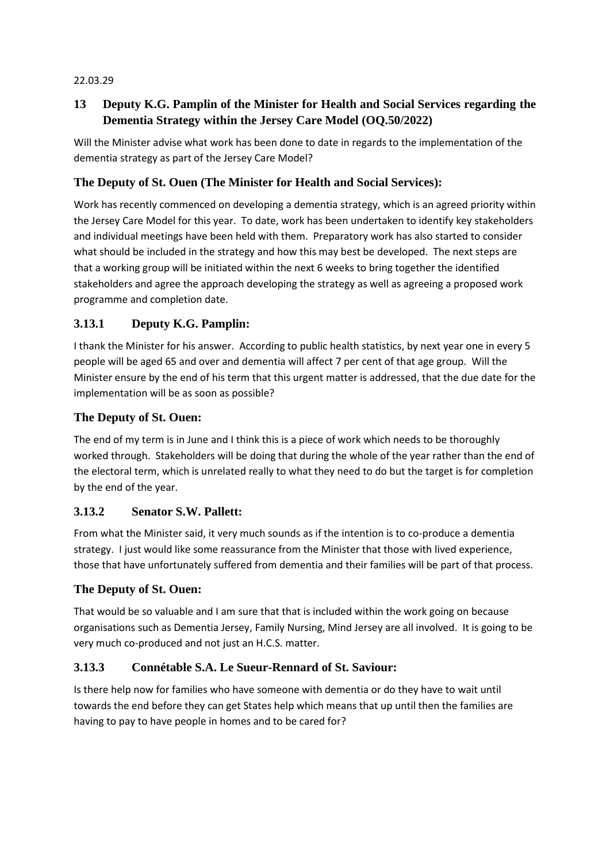#### 22.03.29

# **13 Deputy K.G. Pamplin of the Minister for Health and Social Services regarding the Dementia Strategy within the Jersey Care Model (OQ.50/2022)**

Will the Minister advise what work has been done to date in regards to the implementation of the dementia strategy as part of the Jersey Care Model?

#### **The Deputy of St. Ouen (The Minister for Health and Social Services):**

Work has recently commenced on developing a dementia strategy, which is an agreed priority within the Jersey Care Model for this year. To date, work has been undertaken to identify key stakeholders and individual meetings have been held with them. Preparatory work has also started to consider what should be included in the strategy and how this may best be developed. The next steps are that a working group will be initiated within the next 6 weeks to bring together the identified stakeholders and agree the approach developing the strategy as well as agreeing a proposed work programme and completion date.

### **3.13.1 Deputy K.G. Pamplin:**

I thank the Minister for his answer. According to public health statistics, by next year one in every 5 people will be aged 65 and over and dementia will affect 7 per cent of that age group. Will the Minister ensure by the end of his term that this urgent matter is addressed, that the due date for the implementation will be as soon as possible?

#### **The Deputy of St. Ouen:**

The end of my term is in June and I think this is a piece of work which needs to be thoroughly worked through. Stakeholders will be doing that during the whole of the year rather than the end of the electoral term, which is unrelated really to what they need to do but the target is for completion by the end of the year.

#### **3.13.2 Senator S.W. Pallett:**

From what the Minister said, it very much sounds as if the intention is to co-produce a dementia strategy. I just would like some reassurance from the Minister that those with lived experience, those that have unfortunately suffered from dementia and their families will be part of that process.

#### **The Deputy of St. Ouen:**

That would be so valuable and I am sure that that is included within the work going on because organisations such as Dementia Jersey, Family Nursing, Mind Jersey are all involved. It is going to be very much co-produced and not just an H.C.S. matter.

#### **3.13.3 Connétable S.A. Le Sueur-Rennard of St. Saviour:**

Is there help now for families who have someone with dementia or do they have to wait until towards the end before they can get States help which means that up until then the families are having to pay to have people in homes and to be cared for?